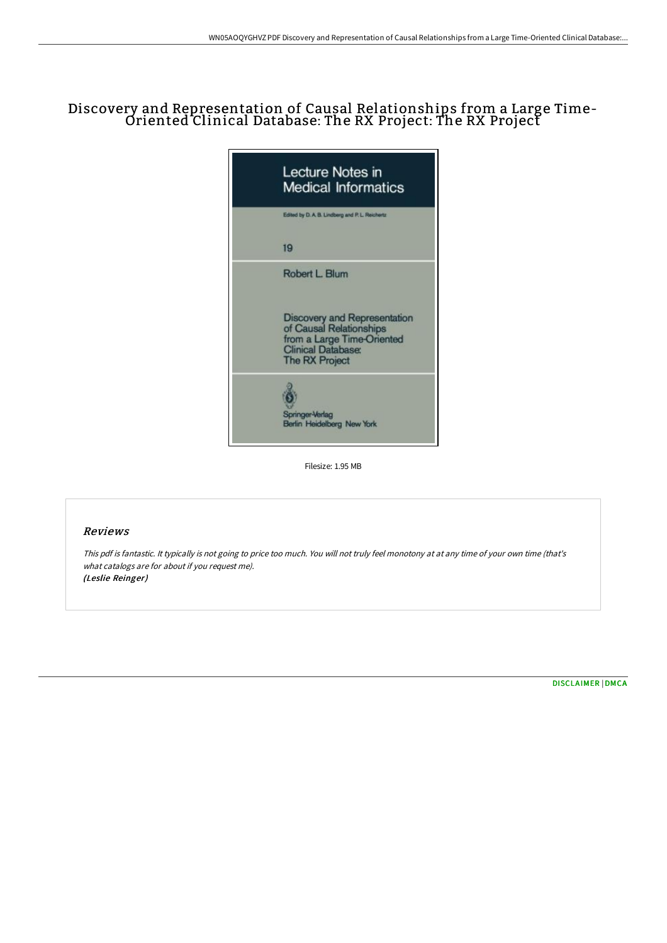# Discovery and Representation of Causal Relationships from <sup>a</sup> Large Time- Oriented Clinical Database: The RX Project: The RX Project

| <b>Lecture Notes in</b><br><b>Medical Informatics</b>                                                                                              |
|----------------------------------------------------------------------------------------------------------------------------------------------------|
| Edited by D. A. B. Lindberg and P. L. Reichertz                                                                                                    |
| 19                                                                                                                                                 |
| Robert L. Blum                                                                                                                                     |
| <b>Discovery and Representation</b><br>of Causal Relationships<br>from a Large Time-Oriented<br><b>Clinical Database:</b><br><b>The RX Project</b> |
| Springer-Verlag<br>Berlin Heidelberg New York                                                                                                      |

Filesize: 1.95 MB

## Reviews

This pdf is fantastic. It typically is not going to price too much. You will not truly feel monotony at at any time of your own time (that's what catalogs are for about if you request me). (Leslie Reinger)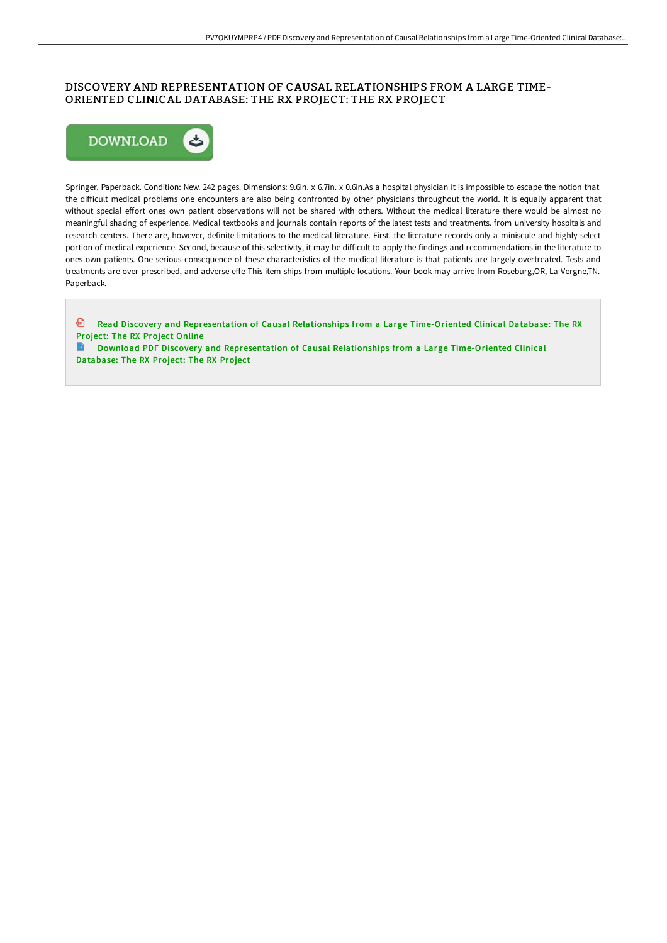## DISCOVERY AND REPRESENTATION OF CAUSAL RELATIONSHIPS FROM A LARGE TIME-ORIENTED CLINICAL DATABASE: THE RX PROJECT: THE RX PROJECT



Springer. Paperback. Condition: New. 242 pages. Dimensions: 9.6in. x 6.7in. x 0.6in.As a hospital physician it is impossible to escape the notion that the difficult medical problems one encounters are also being confronted by other physicians throughout the world. It is equally apparent that without special effort ones own patient observations will not be shared with others. Without the medical literature there would be almost no meaningful shadng of experience. Medical textbooks and journals contain reports of the latest tests and treatments. from university hospitals and research centers. There are, however, definite limitations to the medical literature. First. the literature records only a miniscule and highly select portion of medical experience. Second, because of this selectivity, it may be difficult to apply the findings and recommendations in the literature to ones own patients. One serious consequence of these characteristics of the medical literature is that patients are largely overtreated. Tests and treatments are over-prescribed, and adverse effe This item ships from multiple locations. Your book may arrive from Roseburg, OR, La Vergne, TN. Paperback.

<sup>a</sup> Read Discovery and [Representation](http://www.bookdirs.com/discovery-and-representation-of-causal-relations.html) of Causal Relationships from a Large Time-Oriented Clinical Database: The RX Project: The RX Project Online

 $\Rightarrow$ Download PDF Discovery and [Representation](http://www.bookdirs.com/discovery-and-representation-of-causal-relations.html) of Causal Relationships from a Large Time-Oriented Clinical Database: The RX Project: The RX Project